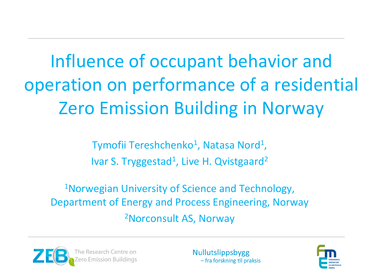Influence of occupant behavior and operation on performance of a residential Zero Emission Building in Norway

> Tymofii Tereshchenko<sup>1</sup>, Natasa Nord<sup>1</sup>, Ivar S. Tryggestad<sup>1</sup>, Live H. Qvistgaard<sup>2</sup>

<sup>1</sup>Norwegian University of Science and Technology, Department of Energy and Process Engineering, Norway 2Norconsult AS, Norway



**Nullutslippsbygg** - fra forskning til praksis

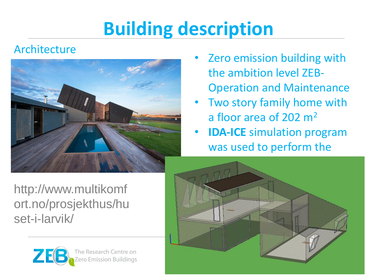# **Building description**

#### Architecture



http://www.multikomf ort.no/prosjekthus/hu set-i-larvik/



- **EXEL 25 THE 25 YEAR 20 ATT** Zero emission building with the ambition level ZEB-Operation and Maintenance
- Two story family home with a floor area of 202 m<sup>2</sup>
- **IDA-ICE** simulation program was used to perform the

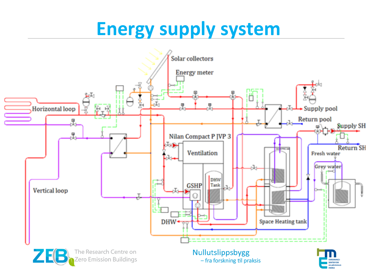### **Energy supply system**

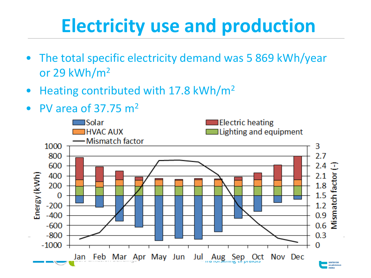## **Electricity use and production**

- The total specific electricity demand was 5 869 kWh/year or 29 kWh/m<sup>2</sup>
- Heating contributed with 17.8 kWh/m<sup>2</sup>
- PV area of  $37.75$  m<sup>2</sup>

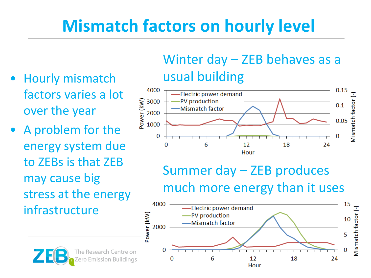### **Mismatch factors on hourly level**

- Hourly mismatch factors varies a lot over the year
- A problem for the energy system due to ZEBs is that ZEB may cause big stress at the energy infrastructure

### Winter day – ZEB behaves as a usual building



### Summer day – ZEB produces much more energy than it uses



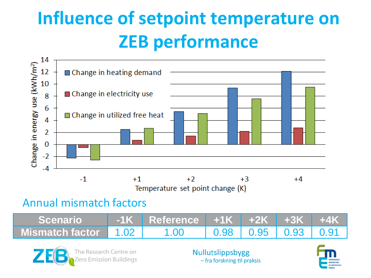# **Influence of setpoint temperature on ZEB performance**



Temperature set point change (K)

#### Annual mismatch factors

| Scenario               | <u>I -1K Reference +1K +2K +3K +4K </u> |                                                     |  |
|------------------------|-----------------------------------------|-----------------------------------------------------|--|
| Mismatch factor 1.02 I | $-1.00$                                 | $\vert$ 0.98 $\vert$ 0.95 $\vert$ 0.93 $\vert$ 0.91 |  |



**Nullutslippsbygg** - fra forskning til praksis

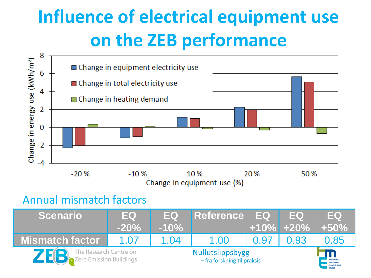## **Influence of electrical equipment use on the ZEB performance**



Change in equipment use (%)

#### Annual mismatch factors

| <i><b>Scenario</b></i>                            | <b>IEQ</b><br>$-20%$ | <b>JEQ7</b><br>$-10\%$ | Reference EQ                                    |      | <b>IEQ</b><br>$+10\%$ +20% | <b>IEQI</b><br>$+50\%$                                        |
|---------------------------------------------------|----------------------|------------------------|-------------------------------------------------|------|----------------------------|---------------------------------------------------------------|
| <b>Mismatch factor</b>                            | 1.07                 | 1.04                   | 1.00                                            | 0.97 | 0.93                       | 0.85                                                          |
| The Research Centre on<br>Tero Emission Buildings |                      |                        | Nullutslippsbygg<br>- fra forskning til praksis |      |                            | <b>FORSKNINGS</b><br><b>SENTER FOR</b><br><b>MILIØVENNLIG</b> |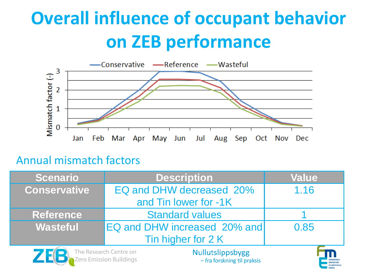## **Overall influence of occupant behavior on ZEB performance**



#### Annual mismatch factors

ro Emission Buildings

| Scenario            | <b>Description</b>                                | <b>Value</b> |  |  |  |
|---------------------|---------------------------------------------------|--------------|--|--|--|
| <b>Conservative</b> | EQ and DHW decreased 20%                          | 1.16         |  |  |  |
|                     | and Tin lower for -1K                             |              |  |  |  |
| <b>Reference</b>    | <b>Standard values</b>                            |              |  |  |  |
| <b>Wasteful</b>     | EQ and DHW increased 20% and                      | 0.85         |  |  |  |
|                     | Tin higher for 2 K                                |              |  |  |  |
|                     | The Research Centre on<br><b>Nullutslippsbygg</b> |              |  |  |  |

- fra forskning til praksis